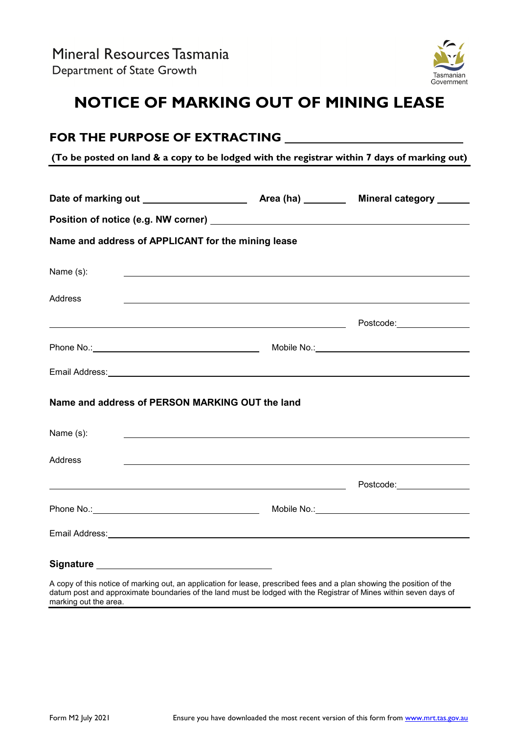

# **NOTICE OF MARKING OUT OF MINING LEASE**

| FOR THE PURPOSE OF EXTRACTING                                                                |                                                                                                                                |  |
|----------------------------------------------------------------------------------------------|--------------------------------------------------------------------------------------------------------------------------------|--|
| (To be posted on land & a copy to be lodged with the registrar within 7 days of marking out) |                                                                                                                                |  |
|                                                                                              |                                                                                                                                |  |
|                                                                                              |                                                                                                                                |  |
| Name and address of APPLICANT for the mining lease                                           |                                                                                                                                |  |
| Name (s):                                                                                    | <u> 1989 - Johann Stoff, amerikansk politiker (d. 1989)</u>                                                                    |  |
| Address                                                                                      |                                                                                                                                |  |
|                                                                                              |                                                                                                                                |  |
|                                                                                              |                                                                                                                                |  |
|                                                                                              |                                                                                                                                |  |
| Name and address of PERSON MARKING OUT the land                                              |                                                                                                                                |  |
| Name (s):                                                                                    |                                                                                                                                |  |
| Address                                                                                      |                                                                                                                                |  |
|                                                                                              |                                                                                                                                |  |
|                                                                                              |                                                                                                                                |  |
|                                                                                              |                                                                                                                                |  |
|                                                                                              |                                                                                                                                |  |
|                                                                                              | A commodition of the of modification of the Books of the local material force and a mind of contraction of the contract of the |  |

A copy of this notice of marking out, an application for lease, prescribed fees and a plan showing the position of the datum post and approximate boundaries of the land must be lodged with the Registrar of Mines within seven days of marking out the area.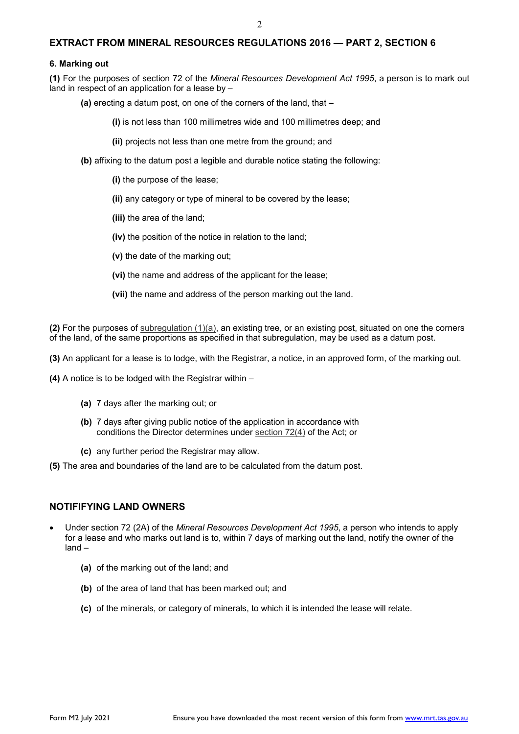### **EXTRACT FROM MINERAL RESOURCES REGULATIONS 2016 — PART 2, SECTION 6**

#### **6. Marking out**

**(1)** For the purposes of section 72 of the *Mineral Resources Development Act 1995*, a person is to mark out land in respect of an application for a lease by –

**(a)** erecting a datum post, on one of the corners of the land, that –

**(i)** is not less than 100 millimetres wide and 100 millimetres deep; and

**(ii)** projects not less than one metre from the ground; and

**(b)** affixing to the datum post a legible and durable notice stating the following:

**(i)** the purpose of the lease;

- **(ii)** any category or type of mineral to be covered by the lease;
- **(iii)** the area of the land;
- **(iv)** the position of the notice in relation to the land;
- **(v)** the date of the marking out;
- **(vi)** the name and address of the applicant for the lease;
- **(vii)** the name and address of the person marking out the land.

**(2)** For the purposes of [subregulation \(1\)\(a\),](http://www.thelaw.tas.gov.au/tocview/content.w3p;cond=;doc_id=%2B41%2B2016%2BGS6%40Gs1%40Hpa%40EN%2B20160630000000;histon=;inforequest=;pdfauthverid=;prompt=;rec=8;rtfauthverid=;term=;webauthverid=#GS6@Gs1@Hpa@EN) an existing tree, or an existing post, situated on one the corners of the land, of the same proportions as specified in that subregulation, may be used as a datum post.

**(3)** An applicant for a lease is to lodge, with the Registrar, a notice, in an approved form, of the marking out.

- **(4)** A notice is to be lodged with the Registrar within
	- **(a)** 7 days after the marking out; or
	- **(b)** 7 days after giving public notice of the application in accordance with conditions the Director determines under [section 72\(4\)](http://www.thelaw.tas.gov.au/tocview/index.w3p;cond=;doc_id=116%2B%2B1995%2BGS72%40Gs4%40EN%2B20160630000000%23GS72%40Gs4%40EN;histon=;pdfauthverid=;prompt=;rec=;rtfauthverid=;term=;webauthverid=) of the Act; or
	- **(c)** any further period the Registrar may allow.
- **(5)** The area and boundaries of the land are to be calculated from the datum post.

#### **NOTIFIFYING LAND OWNERS**

- Under section 72 (2A) of the *Mineral Resources Development Act 1995*, a person who intends to apply for a lease and who marks out land is to, within 7 days of marking out the land, notify the owner of the land –
	- **(a)** of the marking out of the land; and
	- **(b)** of the area of land that has been marked out; and
	- **(c)** of the minerals, or category of minerals, to which it is intended the lease will relate.